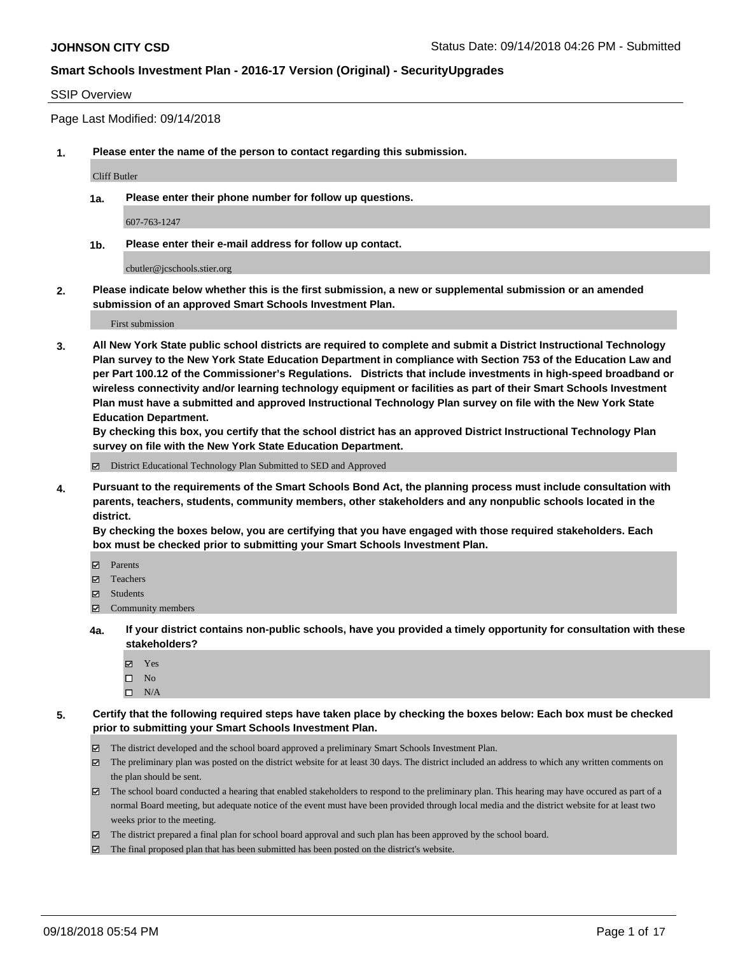### SSIP Overview

Page Last Modified: 09/14/2018

**1. Please enter the name of the person to contact regarding this submission.**

Cliff Butler

**1a. Please enter their phone number for follow up questions.**

607-763-1247

**1b. Please enter their e-mail address for follow up contact.**

cbutler@jcschools.stier.org

**2. Please indicate below whether this is the first submission, a new or supplemental submission or an amended submission of an approved Smart Schools Investment Plan.**

First submission

**3. All New York State public school districts are required to complete and submit a District Instructional Technology Plan survey to the New York State Education Department in compliance with Section 753 of the Education Law and per Part 100.12 of the Commissioner's Regulations. Districts that include investments in high-speed broadband or wireless connectivity and/or learning technology equipment or facilities as part of their Smart Schools Investment Plan must have a submitted and approved Instructional Technology Plan survey on file with the New York State Education Department.** 

**By checking this box, you certify that the school district has an approved District Instructional Technology Plan survey on file with the New York State Education Department.**

District Educational Technology Plan Submitted to SED and Approved

**4. Pursuant to the requirements of the Smart Schools Bond Act, the planning process must include consultation with parents, teachers, students, community members, other stakeholders and any nonpublic schools located in the district.** 

**By checking the boxes below, you are certifying that you have engaged with those required stakeholders. Each box must be checked prior to submitting your Smart Schools Investment Plan.**

- Parents
- Teachers
- Students
- $\Xi$  Community members
- **4a. If your district contains non-public schools, have you provided a timely opportunity for consultation with these stakeholders?**
	- Yes
	- $\square$  No
	- $\square$  N/A
- **5. Certify that the following required steps have taken place by checking the boxes below: Each box must be checked prior to submitting your Smart Schools Investment Plan.**
	- The district developed and the school board approved a preliminary Smart Schools Investment Plan.
	- $\boxtimes$  The preliminary plan was posted on the district website for at least 30 days. The district included an address to which any written comments on the plan should be sent.
	- $\boxtimes$  The school board conducted a hearing that enabled stakeholders to respond to the preliminary plan. This hearing may have occured as part of a normal Board meeting, but adequate notice of the event must have been provided through local media and the district website for at least two weeks prior to the meeting.
	- The district prepared a final plan for school board approval and such plan has been approved by the school board.
	- $\boxtimes$  The final proposed plan that has been submitted has been posted on the district's website.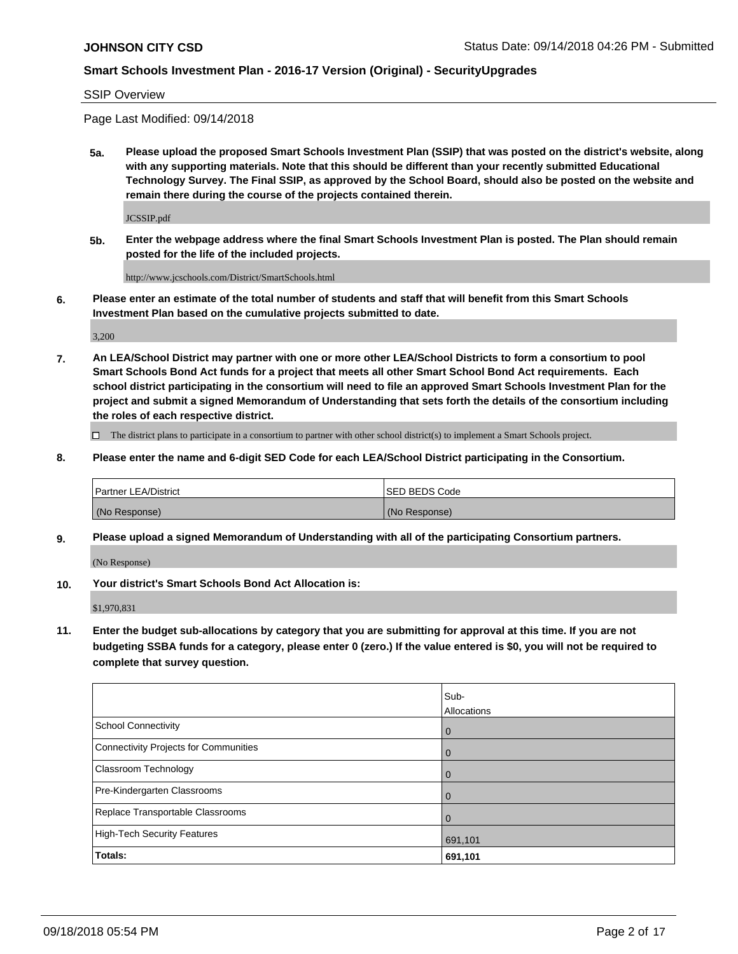SSIP Overview

Page Last Modified: 09/14/2018

**5a. Please upload the proposed Smart Schools Investment Plan (SSIP) that was posted on the district's website, along with any supporting materials. Note that this should be different than your recently submitted Educational Technology Survey. The Final SSIP, as approved by the School Board, should also be posted on the website and remain there during the course of the projects contained therein.**

JCSSIP.pdf

**5b. Enter the webpage address where the final Smart Schools Investment Plan is posted. The Plan should remain posted for the life of the included projects.**

http://www.jcschools.com/District/SmartSchools.html

**6. Please enter an estimate of the total number of students and staff that will benefit from this Smart Schools Investment Plan based on the cumulative projects submitted to date.**

3,200

**7. An LEA/School District may partner with one or more other LEA/School Districts to form a consortium to pool Smart Schools Bond Act funds for a project that meets all other Smart School Bond Act requirements. Each school district participating in the consortium will need to file an approved Smart Schools Investment Plan for the project and submit a signed Memorandum of Understanding that sets forth the details of the consortium including the roles of each respective district.**

 $\Box$  The district plans to participate in a consortium to partner with other school district(s) to implement a Smart Schools project.

**8. Please enter the name and 6-digit SED Code for each LEA/School District participating in the Consortium.**

| <b>Partner LEA/District</b> | ISED BEDS Code |
|-----------------------------|----------------|
| (No Response)               | (No Response)  |

**9. Please upload a signed Memorandum of Understanding with all of the participating Consortium partners.**

(No Response)

**10. Your district's Smart Schools Bond Act Allocation is:**

\$1,970,831

**11. Enter the budget sub-allocations by category that you are submitting for approval at this time. If you are not budgeting SSBA funds for a category, please enter 0 (zero.) If the value entered is \$0, you will not be required to complete that survey question.**

|                                              | Sub-<br>Allocations |
|----------------------------------------------|---------------------|
| <b>School Connectivity</b>                   | $\Omega$            |
| <b>Connectivity Projects for Communities</b> | $\Omega$            |
| <b>Classroom Technology</b>                  |                     |
| Pre-Kindergarten Classrooms                  | $\Omega$            |
| Replace Transportable Classrooms             |                     |
| <b>High-Tech Security Features</b>           | 691,101             |
| Totals:                                      | 691,101             |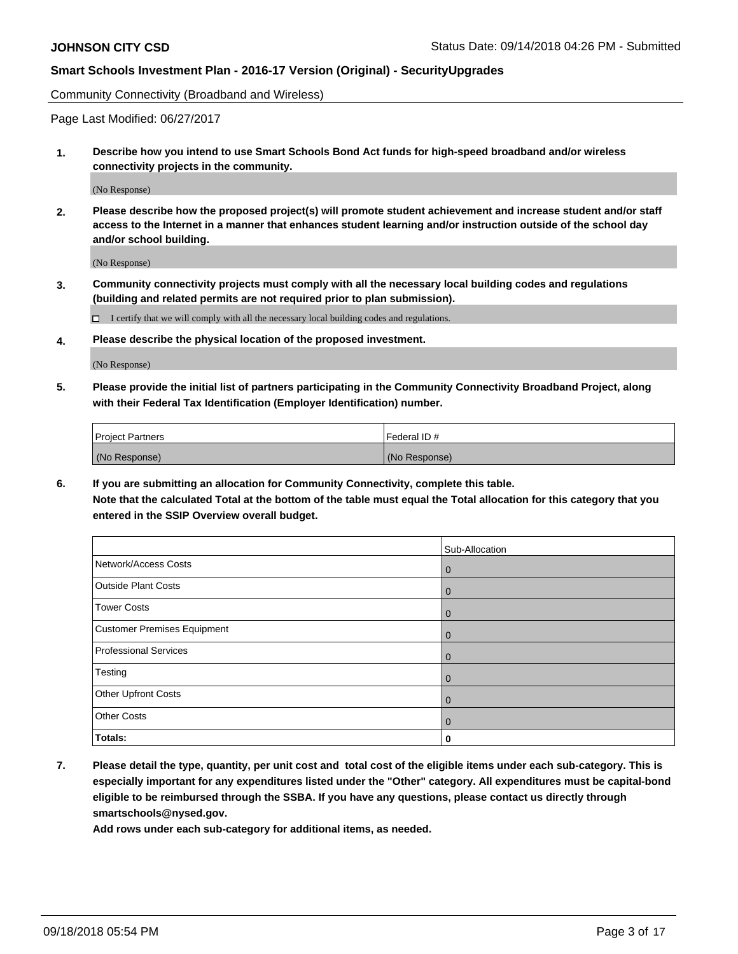Community Connectivity (Broadband and Wireless)

Page Last Modified: 06/27/2017

**1. Describe how you intend to use Smart Schools Bond Act funds for high-speed broadband and/or wireless connectivity projects in the community.**

(No Response)

**2. Please describe how the proposed project(s) will promote student achievement and increase student and/or staff access to the Internet in a manner that enhances student learning and/or instruction outside of the school day and/or school building.**

(No Response)

**3. Community connectivity projects must comply with all the necessary local building codes and regulations (building and related permits are not required prior to plan submission).**

 $\Box$  I certify that we will comply with all the necessary local building codes and regulations.

**4. Please describe the physical location of the proposed investment.**

(No Response)

**5. Please provide the initial list of partners participating in the Community Connectivity Broadband Project, along with their Federal Tax Identification (Employer Identification) number.**

| <b>Project Partners</b> | Federal ID#   |
|-------------------------|---------------|
| (No Response)           | (No Response) |

**6. If you are submitting an allocation for Community Connectivity, complete this table. Note that the calculated Total at the bottom of the table must equal the Total allocation for this category that you entered in the SSIP Overview overall budget.**

|                              | Sub-Allocation |
|------------------------------|----------------|
| Network/Access Costs         | $\mathbf 0$    |
| <b>Outside Plant Costs</b>   | $\mathbf 0$    |
| <b>Tower Costs</b>           | $\mathbf 0$    |
| Customer Premises Equipment  | $\mathbf 0$    |
| <b>Professional Services</b> | $\mathbf 0$    |
| Testing                      | $\mathbf 0$    |
| Other Upfront Costs          | $\mathbf 0$    |
| <b>Other Costs</b>           | $\mathbf 0$    |
| Totals:                      | 0              |

**7. Please detail the type, quantity, per unit cost and total cost of the eligible items under each sub-category. This is especially important for any expenditures listed under the "Other" category. All expenditures must be capital-bond eligible to be reimbursed through the SSBA. If you have any questions, please contact us directly through smartschools@nysed.gov.**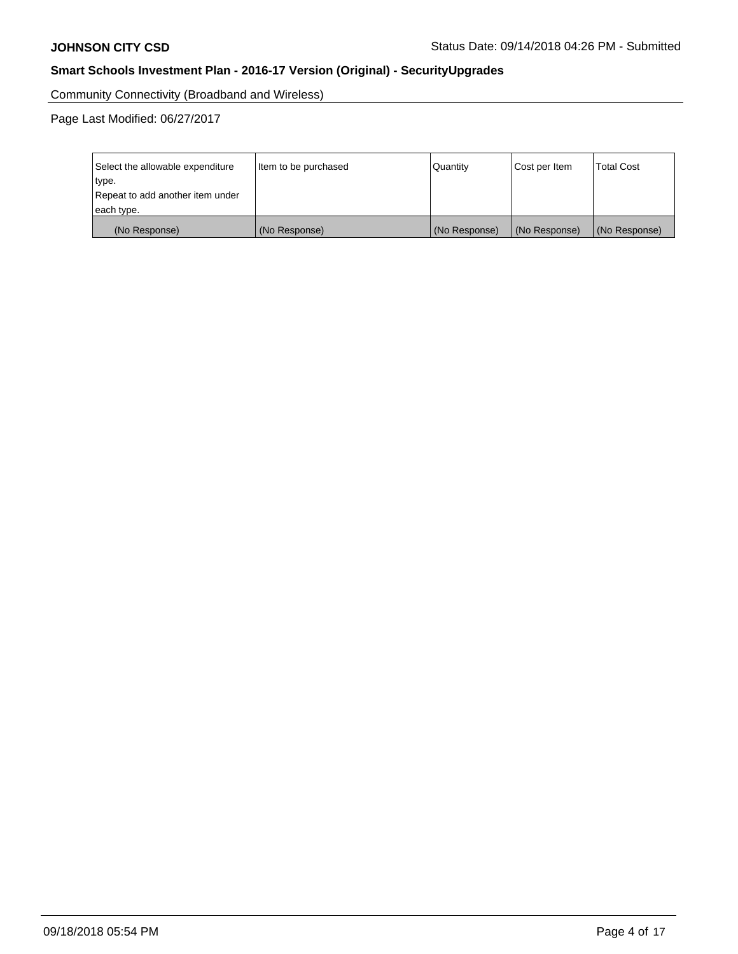Community Connectivity (Broadband and Wireless)

Page Last Modified: 06/27/2017

| Select the allowable expenditure<br>type.<br>Repeat to add another item under<br>each type. | Item to be purchased | Quantity      | Cost per Item | <b>Total Cost</b> |
|---------------------------------------------------------------------------------------------|----------------------|---------------|---------------|-------------------|
| (No Response)                                                                               | (No Response)        | (No Response) | (No Response) | (No Response)     |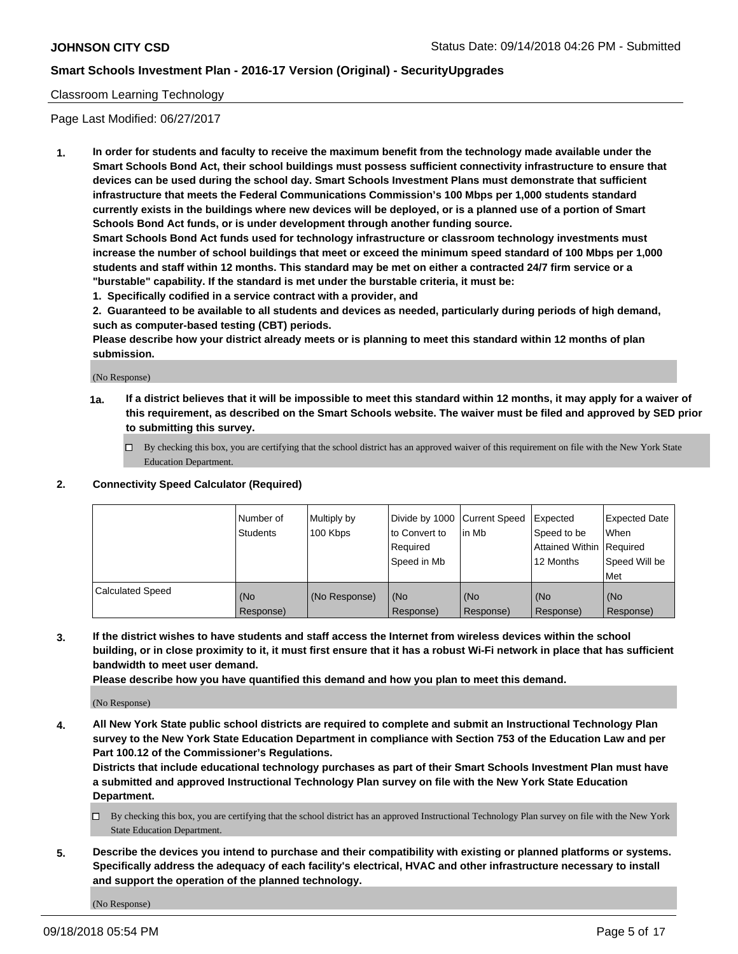### Classroom Learning Technology

Page Last Modified: 06/27/2017

**1. In order for students and faculty to receive the maximum benefit from the technology made available under the Smart Schools Bond Act, their school buildings must possess sufficient connectivity infrastructure to ensure that devices can be used during the school day. Smart Schools Investment Plans must demonstrate that sufficient infrastructure that meets the Federal Communications Commission's 100 Mbps per 1,000 students standard currently exists in the buildings where new devices will be deployed, or is a planned use of a portion of Smart Schools Bond Act funds, or is under development through another funding source.**

**Smart Schools Bond Act funds used for technology infrastructure or classroom technology investments must increase the number of school buildings that meet or exceed the minimum speed standard of 100 Mbps per 1,000 students and staff within 12 months. This standard may be met on either a contracted 24/7 firm service or a "burstable" capability. If the standard is met under the burstable criteria, it must be:**

**1. Specifically codified in a service contract with a provider, and**

**2. Guaranteed to be available to all students and devices as needed, particularly during periods of high demand, such as computer-based testing (CBT) periods.**

**Please describe how your district already meets or is planning to meet this standard within 12 months of plan submission.**

(No Response)

- **1a. If a district believes that it will be impossible to meet this standard within 12 months, it may apply for a waiver of this requirement, as described on the Smart Schools website. The waiver must be filed and approved by SED prior to submitting this survey.**
	- By checking this box, you are certifying that the school district has an approved waiver of this requirement on file with the New York State Education Department.

### **2. Connectivity Speed Calculator (Required)**

|                         | l Number of<br>Students | Multiply by<br>100 Kbps | Divide by 1000   Current Speed<br>to Convert to<br>Required<br>l Speed in Mb | in Mb            | Expected<br>Speed to be<br>Attained Within Required<br>12 Months | <b>Expected Date</b><br>When<br>Speed Will be<br>Met |
|-------------------------|-------------------------|-------------------------|------------------------------------------------------------------------------|------------------|------------------------------------------------------------------|------------------------------------------------------|
| <b>Calculated Speed</b> | (No<br>Response)        | (No Response)           | (No<br>Response)                                                             | (No<br>Response) | (No<br>Response)                                                 | l (No<br>Response)                                   |

**3. If the district wishes to have students and staff access the Internet from wireless devices within the school building, or in close proximity to it, it must first ensure that it has a robust Wi-Fi network in place that has sufficient bandwidth to meet user demand.**

**Please describe how you have quantified this demand and how you plan to meet this demand.**

(No Response)

**4. All New York State public school districts are required to complete and submit an Instructional Technology Plan survey to the New York State Education Department in compliance with Section 753 of the Education Law and per Part 100.12 of the Commissioner's Regulations.**

**Districts that include educational technology purchases as part of their Smart Schools Investment Plan must have a submitted and approved Instructional Technology Plan survey on file with the New York State Education Department.**

- By checking this box, you are certifying that the school district has an approved Instructional Technology Plan survey on file with the New York State Education Department.
- **5. Describe the devices you intend to purchase and their compatibility with existing or planned platforms or systems. Specifically address the adequacy of each facility's electrical, HVAC and other infrastructure necessary to install and support the operation of the planned technology.**

(No Response)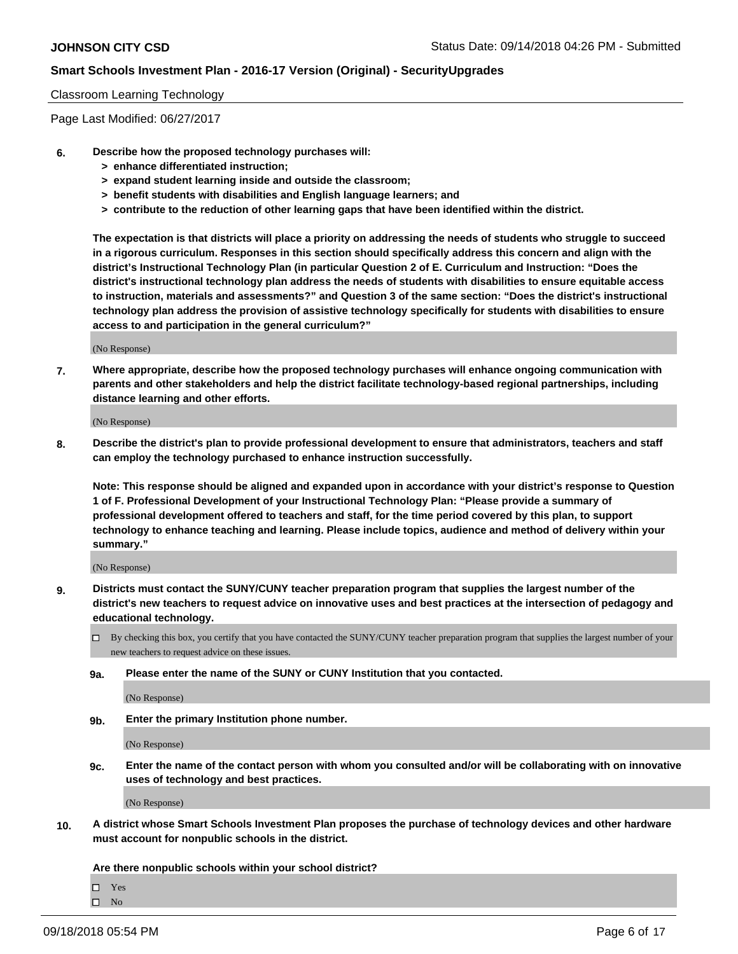### Classroom Learning Technology

Page Last Modified: 06/27/2017

- **6. Describe how the proposed technology purchases will:**
	- **> enhance differentiated instruction;**
	- **> expand student learning inside and outside the classroom;**
	- **> benefit students with disabilities and English language learners; and**
	- **> contribute to the reduction of other learning gaps that have been identified within the district.**

**The expectation is that districts will place a priority on addressing the needs of students who struggle to succeed in a rigorous curriculum. Responses in this section should specifically address this concern and align with the district's Instructional Technology Plan (in particular Question 2 of E. Curriculum and Instruction: "Does the district's instructional technology plan address the needs of students with disabilities to ensure equitable access to instruction, materials and assessments?" and Question 3 of the same section: "Does the district's instructional technology plan address the provision of assistive technology specifically for students with disabilities to ensure access to and participation in the general curriculum?"**

(No Response)

**7. Where appropriate, describe how the proposed technology purchases will enhance ongoing communication with parents and other stakeholders and help the district facilitate technology-based regional partnerships, including distance learning and other efforts.**

(No Response)

**8. Describe the district's plan to provide professional development to ensure that administrators, teachers and staff can employ the technology purchased to enhance instruction successfully.**

**Note: This response should be aligned and expanded upon in accordance with your district's response to Question 1 of F. Professional Development of your Instructional Technology Plan: "Please provide a summary of professional development offered to teachers and staff, for the time period covered by this plan, to support technology to enhance teaching and learning. Please include topics, audience and method of delivery within your summary."**

(No Response)

- **9. Districts must contact the SUNY/CUNY teacher preparation program that supplies the largest number of the district's new teachers to request advice on innovative uses and best practices at the intersection of pedagogy and educational technology.**
	- $\Box$  By checking this box, you certify that you have contacted the SUNY/CUNY teacher preparation program that supplies the largest number of your new teachers to request advice on these issues.
	- **9a. Please enter the name of the SUNY or CUNY Institution that you contacted.**

(No Response)

**9b. Enter the primary Institution phone number.**

(No Response)

**9c. Enter the name of the contact person with whom you consulted and/or will be collaborating with on innovative uses of technology and best practices.**

(No Response)

**10. A district whose Smart Schools Investment Plan proposes the purchase of technology devices and other hardware must account for nonpublic schools in the district.**

**Are there nonpublic schools within your school district?**

Yes

 $\hfill \square$  No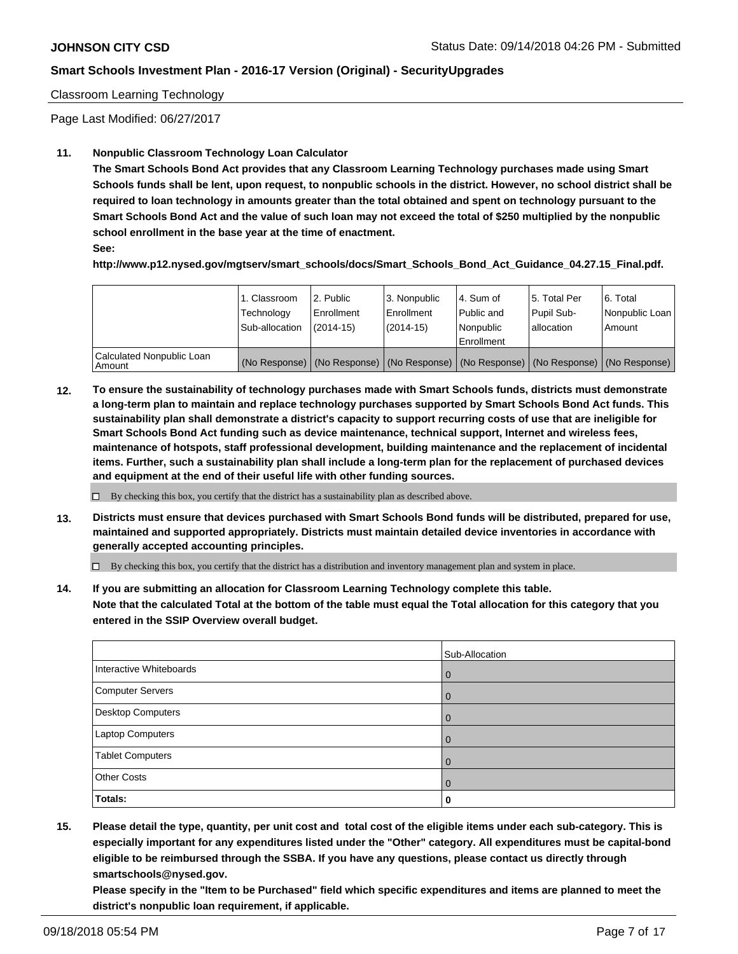### Classroom Learning Technology

Page Last Modified: 06/27/2017

### **11. Nonpublic Classroom Technology Loan Calculator**

**The Smart Schools Bond Act provides that any Classroom Learning Technology purchases made using Smart Schools funds shall be lent, upon request, to nonpublic schools in the district. However, no school district shall be required to loan technology in amounts greater than the total obtained and spent on technology pursuant to the Smart Schools Bond Act and the value of such loan may not exceed the total of \$250 multiplied by the nonpublic school enrollment in the base year at the time of enactment.**

**See:**

**http://www.p12.nysed.gov/mgtserv/smart\_schools/docs/Smart\_Schools\_Bond\_Act\_Guidance\_04.27.15\_Final.pdf.**

|                                       | 1. Classroom<br>Technology<br>Sub-allocation | 2. Public<br>Enrollment<br>$(2014-15)$ | 3. Nonpublic<br>Enrollment<br>$(2014-15)$ | l 4. Sum of<br>l Public and<br>l Nonpublic<br>l Enrollment | 15. Total Per<br>Pupil Sub-<br>lallocation | 6. Total<br>Nonpublic Loan  <br>Amount                                                        |
|---------------------------------------|----------------------------------------------|----------------------------------------|-------------------------------------------|------------------------------------------------------------|--------------------------------------------|-----------------------------------------------------------------------------------------------|
| Calculated Nonpublic Loan<br>l Amount |                                              |                                        |                                           |                                                            |                                            | (No Response)   (No Response)   (No Response)   (No Response)   (No Response)   (No Response) |

**12. To ensure the sustainability of technology purchases made with Smart Schools funds, districts must demonstrate a long-term plan to maintain and replace technology purchases supported by Smart Schools Bond Act funds. This sustainability plan shall demonstrate a district's capacity to support recurring costs of use that are ineligible for Smart Schools Bond Act funding such as device maintenance, technical support, Internet and wireless fees, maintenance of hotspots, staff professional development, building maintenance and the replacement of incidental items. Further, such a sustainability plan shall include a long-term plan for the replacement of purchased devices and equipment at the end of their useful life with other funding sources.**

 $\Box$  By checking this box, you certify that the district has a sustainability plan as described above.

**13. Districts must ensure that devices purchased with Smart Schools Bond funds will be distributed, prepared for use, maintained and supported appropriately. Districts must maintain detailed device inventories in accordance with generally accepted accounting principles.**

By checking this box, you certify that the district has a distribution and inventory management plan and system in place.

**14. If you are submitting an allocation for Classroom Learning Technology complete this table. Note that the calculated Total at the bottom of the table must equal the Total allocation for this category that you entered in the SSIP Overview overall budget.**

|                          | Sub-Allocation |
|--------------------------|----------------|
| Interactive Whiteboards  | $\overline{0}$ |
| <b>Computer Servers</b>  | $\Omega$       |
| <b>Desktop Computers</b> | $\Omega$       |
| Laptop Computers         | $\Omega$       |
| <b>Tablet Computers</b>  | 0              |
| <b>Other Costs</b>       | $\overline{0}$ |
| Totals:                  | 0              |

**15. Please detail the type, quantity, per unit cost and total cost of the eligible items under each sub-category. This is especially important for any expenditures listed under the "Other" category. All expenditures must be capital-bond eligible to be reimbursed through the SSBA. If you have any questions, please contact us directly through smartschools@nysed.gov.**

**Please specify in the "Item to be Purchased" field which specific expenditures and items are planned to meet the district's nonpublic loan requirement, if applicable.**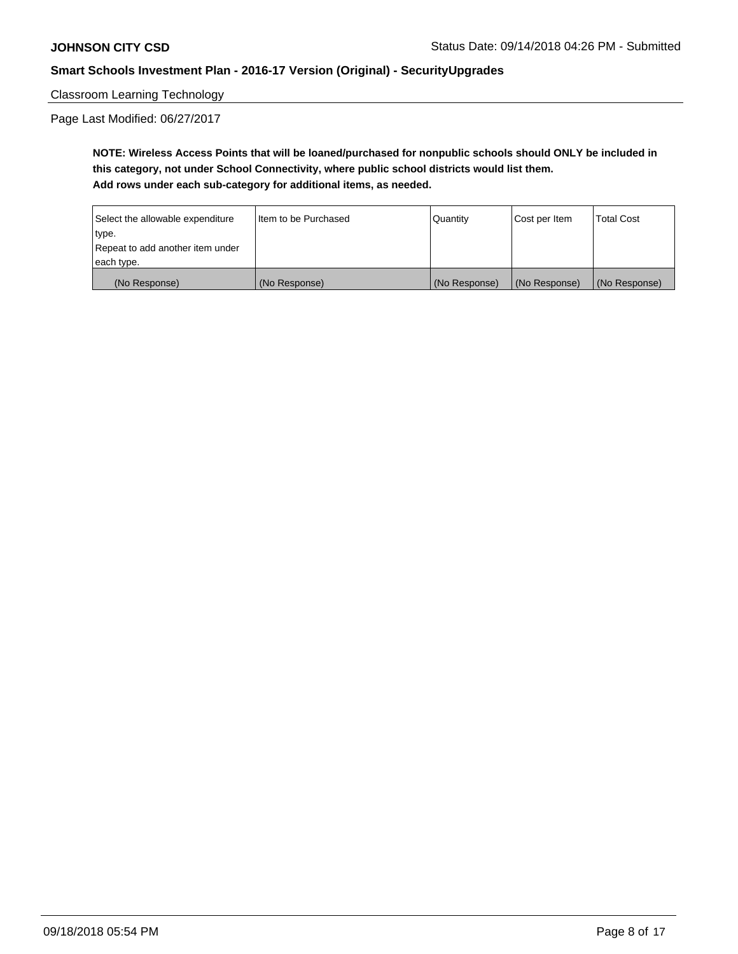Classroom Learning Technology

Page Last Modified: 06/27/2017

**NOTE: Wireless Access Points that will be loaned/purchased for nonpublic schools should ONLY be included in this category, not under School Connectivity, where public school districts would list them. Add rows under each sub-category for additional items, as needed.**

| Select the allowable expenditure | I Item to be Purchased | <b>Quantity</b> | Cost per Item | <b>Total Cost</b> |
|----------------------------------|------------------------|-----------------|---------------|-------------------|
| type.                            |                        |                 |               |                   |
| Repeat to add another item under |                        |                 |               |                   |
| each type.                       |                        |                 |               |                   |
| (No Response)                    | (No Response)          | (No Response)   | (No Response) | (No Response)     |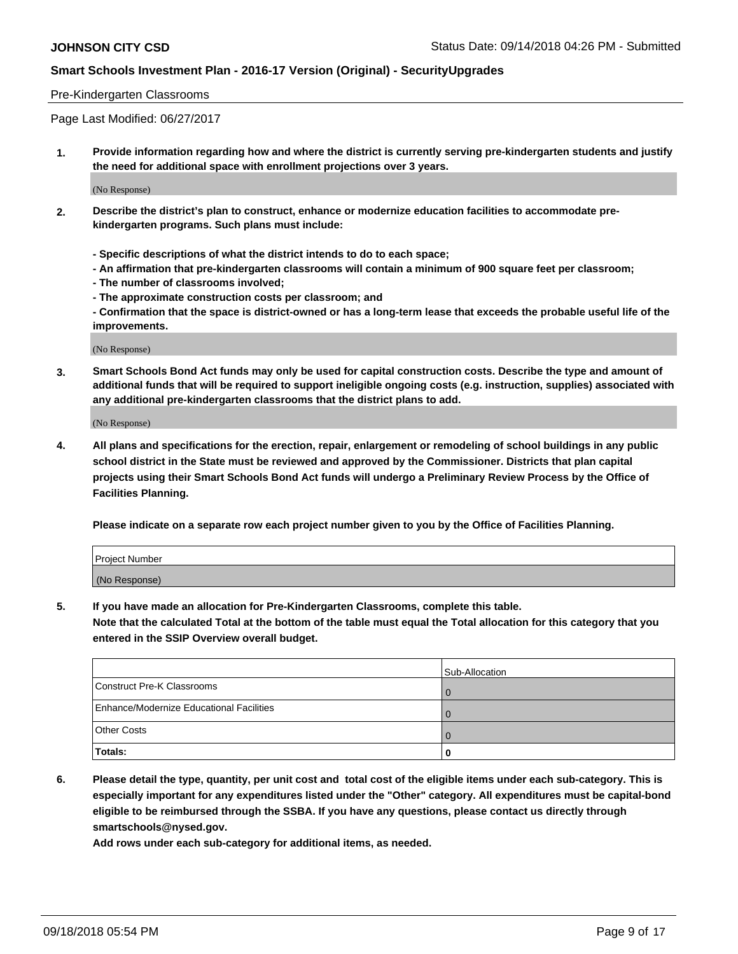### Pre-Kindergarten Classrooms

Page Last Modified: 06/27/2017

**1. Provide information regarding how and where the district is currently serving pre-kindergarten students and justify the need for additional space with enrollment projections over 3 years.**

(No Response)

- **2. Describe the district's plan to construct, enhance or modernize education facilities to accommodate prekindergarten programs. Such plans must include:**
	- **Specific descriptions of what the district intends to do to each space;**
	- **An affirmation that pre-kindergarten classrooms will contain a minimum of 900 square feet per classroom;**
	- **The number of classrooms involved;**
	- **The approximate construction costs per classroom; and**
	- **Confirmation that the space is district-owned or has a long-term lease that exceeds the probable useful life of the improvements.**

(No Response)

**3. Smart Schools Bond Act funds may only be used for capital construction costs. Describe the type and amount of additional funds that will be required to support ineligible ongoing costs (e.g. instruction, supplies) associated with any additional pre-kindergarten classrooms that the district plans to add.**

(No Response)

**4. All plans and specifications for the erection, repair, enlargement or remodeling of school buildings in any public school district in the State must be reviewed and approved by the Commissioner. Districts that plan capital projects using their Smart Schools Bond Act funds will undergo a Preliminary Review Process by the Office of Facilities Planning.**

**Please indicate on a separate row each project number given to you by the Office of Facilities Planning.**

| <b>Project Number</b> |  |
|-----------------------|--|
| (No Response)         |  |

**5. If you have made an allocation for Pre-Kindergarten Classrooms, complete this table.**

**Note that the calculated Total at the bottom of the table must equal the Total allocation for this category that you entered in the SSIP Overview overall budget.**

|                                          | Sub-Allocation |
|------------------------------------------|----------------|
| Construct Pre-K Classrooms               |                |
| Enhance/Modernize Educational Facilities |                |
| <b>Other Costs</b>                       |                |
| Totals:                                  |                |

**6. Please detail the type, quantity, per unit cost and total cost of the eligible items under each sub-category. This is especially important for any expenditures listed under the "Other" category. All expenditures must be capital-bond eligible to be reimbursed through the SSBA. If you have any questions, please contact us directly through smartschools@nysed.gov.**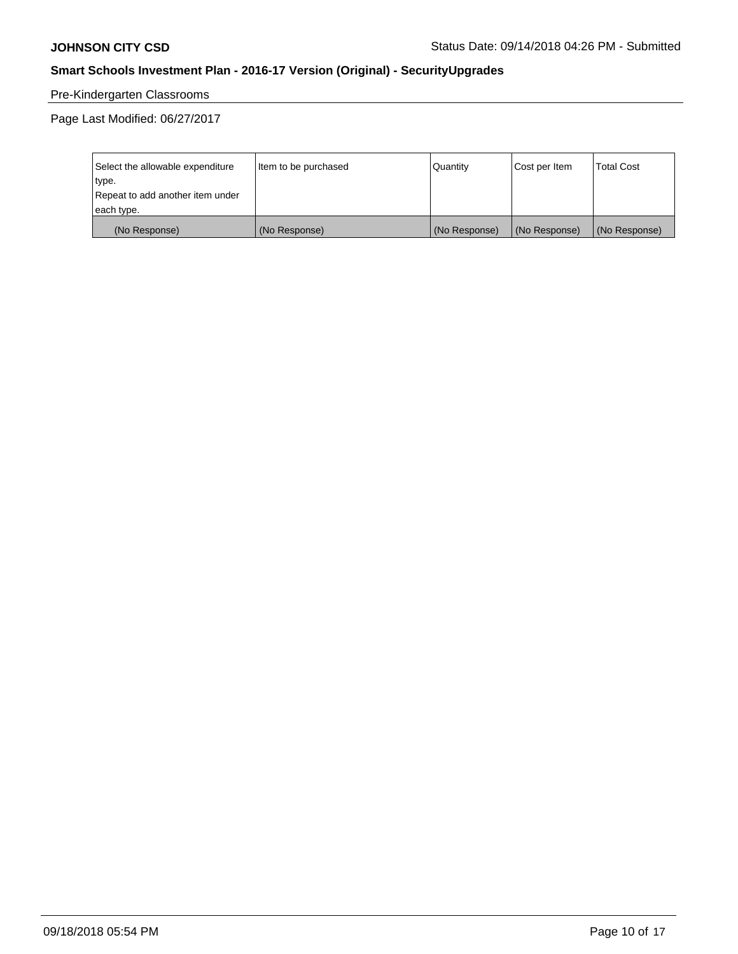# Pre-Kindergarten Classrooms

Page Last Modified: 06/27/2017

| Select the allowable expenditure | Item to be purchased | Quantity      | Cost per Item | <b>Total Cost</b> |
|----------------------------------|----------------------|---------------|---------------|-------------------|
| type.                            |                      |               |               |                   |
| Repeat to add another item under |                      |               |               |                   |
| each type.                       |                      |               |               |                   |
| (No Response)                    | (No Response)        | (No Response) | (No Response) | (No Response)     |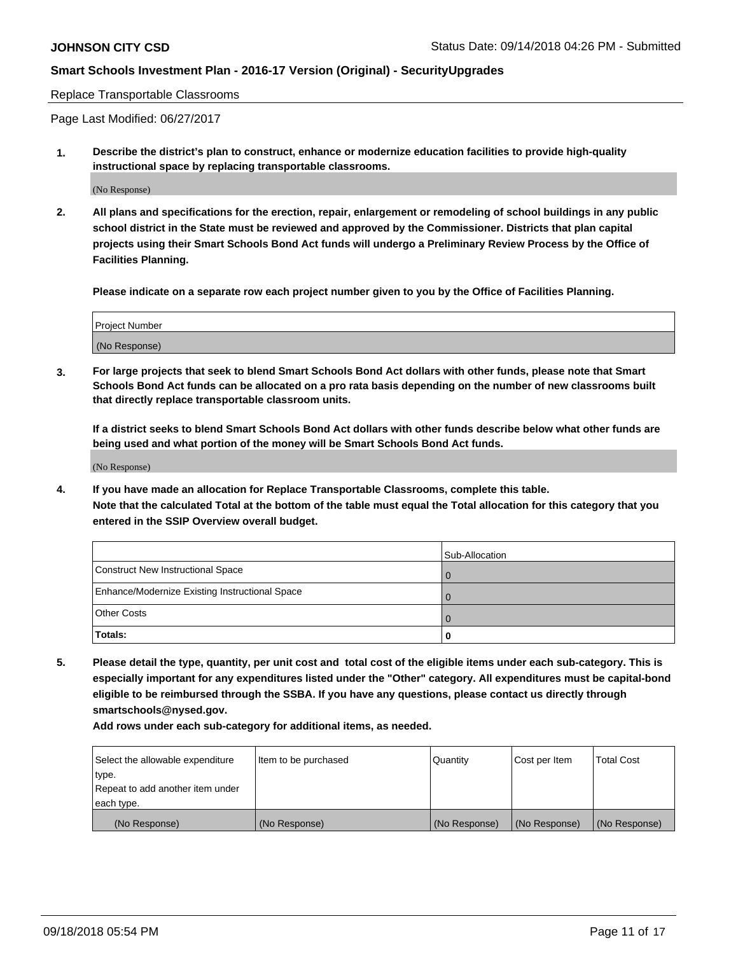Replace Transportable Classrooms

Page Last Modified: 06/27/2017

**1. Describe the district's plan to construct, enhance or modernize education facilities to provide high-quality instructional space by replacing transportable classrooms.**

(No Response)

**2. All plans and specifications for the erection, repair, enlargement or remodeling of school buildings in any public school district in the State must be reviewed and approved by the Commissioner. Districts that plan capital projects using their Smart Schools Bond Act funds will undergo a Preliminary Review Process by the Office of Facilities Planning.**

**Please indicate on a separate row each project number given to you by the Office of Facilities Planning.**

| Project Number |  |
|----------------|--|
| (No Response)  |  |

**3. For large projects that seek to blend Smart Schools Bond Act dollars with other funds, please note that Smart Schools Bond Act funds can be allocated on a pro rata basis depending on the number of new classrooms built that directly replace transportable classroom units.**

**If a district seeks to blend Smart Schools Bond Act dollars with other funds describe below what other funds are being used and what portion of the money will be Smart Schools Bond Act funds.**

(No Response)

**4. If you have made an allocation for Replace Transportable Classrooms, complete this table. Note that the calculated Total at the bottom of the table must equal the Total allocation for this category that you entered in the SSIP Overview overall budget.**

|                                                | Sub-Allocation |
|------------------------------------------------|----------------|
| Construct New Instructional Space              |                |
| Enhance/Modernize Existing Instructional Space |                |
| <b>Other Costs</b>                             |                |
| Totals:                                        | 0              |

**5. Please detail the type, quantity, per unit cost and total cost of the eligible items under each sub-category. This is especially important for any expenditures listed under the "Other" category. All expenditures must be capital-bond eligible to be reimbursed through the SSBA. If you have any questions, please contact us directly through smartschools@nysed.gov.**

| Select the allowable expenditure | Item to be purchased | Quantity      | Cost per Item | <b>Total Cost</b> |
|----------------------------------|----------------------|---------------|---------------|-------------------|
| type.                            |                      |               |               |                   |
| Repeat to add another item under |                      |               |               |                   |
| each type.                       |                      |               |               |                   |
| (No Response)                    | (No Response)        | (No Response) | (No Response) | (No Response)     |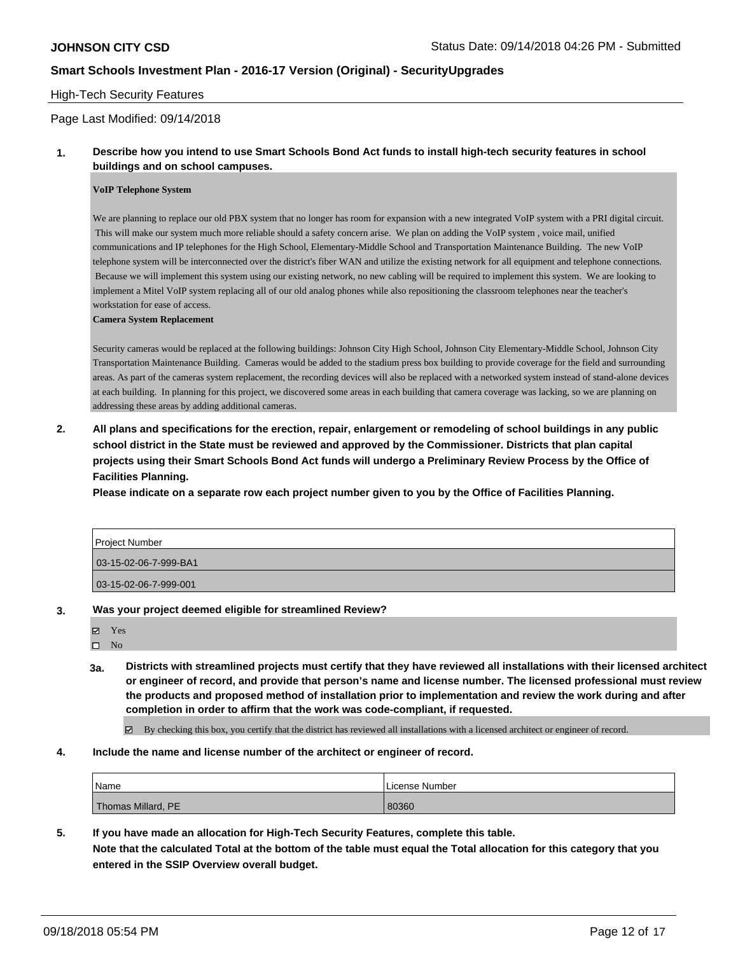### High-Tech Security Features

### Page Last Modified: 09/14/2018

### **1. Describe how you intend to use Smart Schools Bond Act funds to install high-tech security features in school buildings and on school campuses.**

#### **VoIP Telephone System**

We are planning to replace our old PBX system that no longer has room for expansion with a new integrated VoIP system with a PRI digital circuit. This will make our system much more reliable should a safety concern arise. We plan on adding the VoIP system , voice mail, unified communications and IP telephones for the High School, Elementary-Middle School and Transportation Maintenance Building. The new VoIP telephone system will be interconnected over the district's fiber WAN and utilize the existing network for all equipment and telephone connections. Because we will implement this system using our existing network, no new cabling will be required to implement this system. We are looking to implement a Mitel VoIP system replacing all of our old analog phones while also repositioning the classroom telephones near the teacher's workstation for ease of access.

#### **Camera System Replacement**

Security cameras would be replaced at the following buildings: Johnson City High School, Johnson City Elementary-Middle School, Johnson City Transportation Maintenance Building. Cameras would be added to the stadium press box building to provide coverage for the field and surrounding areas. As part of the cameras system replacement, the recording devices will also be replaced with a networked system instead of stand-alone devices at each building. In planning for this project, we discovered some areas in each building that camera coverage was lacking, so we are planning on addressing these areas by adding additional cameras.

# **2. All plans and specifications for the erection, repair, enlargement or remodeling of school buildings in any public school district in the State must be reviewed and approved by the Commissioner. Districts that plan capital projects using their Smart Schools Bond Act funds will undergo a Preliminary Review Process by the Office of Facilities Planning.**

**Please indicate on a separate row each project number given to you by the Office of Facilities Planning.**

| Project Number        |  |
|-----------------------|--|
| 03-15-02-06-7-999-BA1 |  |
| 03-15-02-06-7-999-001 |  |

#### **3. Was your project deemed eligible for streamlined Review?**

| $\blacktriangledown$ Yes |  |  |  |
|--------------------------|--|--|--|
| $\square$ No             |  |  |  |

- **3a. Districts with streamlined projects must certify that they have reviewed all installations with their licensed architect or engineer of record, and provide that person's name and license number. The licensed professional must review the products and proposed method of installation prior to implementation and review the work during and after completion in order to affirm that the work was code-compliant, if requested.**
	- By checking this box, you certify that the district has reviewed all installations with a licensed architect or engineer of record.

#### **4. Include the name and license number of the architect or engineer of record.**

| Name               | License Number |
|--------------------|----------------|
| Thomas Millard, PE | 80360          |

### **5. If you have made an allocation for High-Tech Security Features, complete this table.**

**Note that the calculated Total at the bottom of the table must equal the Total allocation for this category that you entered in the SSIP Overview overall budget.**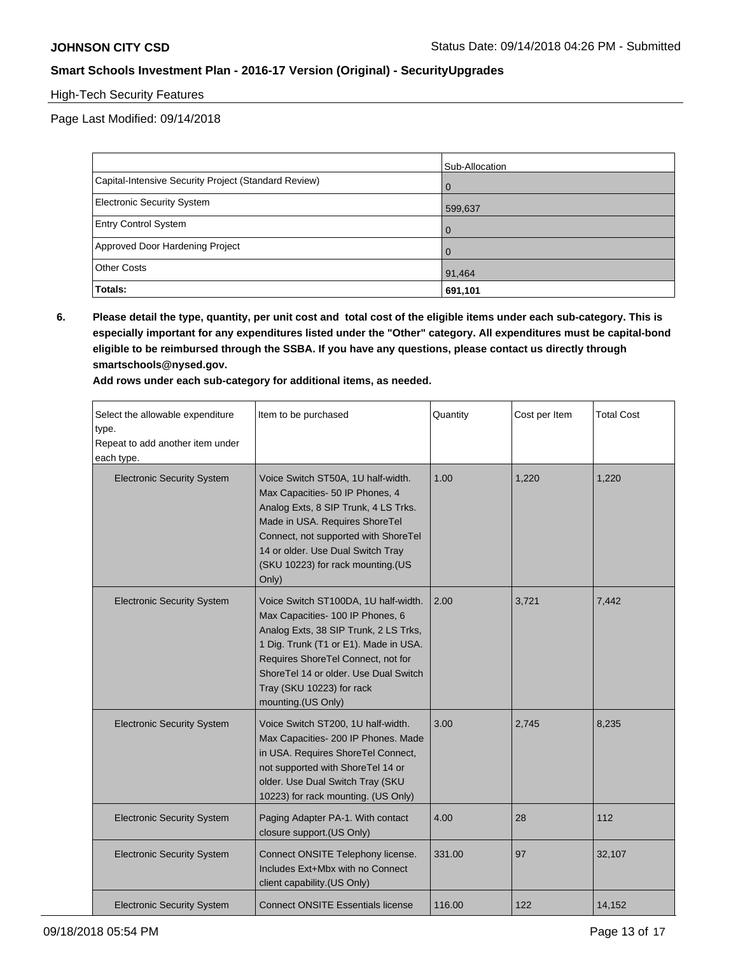# High-Tech Security Features

Page Last Modified: 09/14/2018

|                                                      | Sub-Allocation |
|------------------------------------------------------|----------------|
| Capital-Intensive Security Project (Standard Review) | $\overline{0}$ |
| Electronic Security System                           | 599,637        |
| <b>Entry Control System</b>                          | $\overline{0}$ |
| Approved Door Hardening Project                      | $\Omega$       |
| <b>Other Costs</b>                                   | 91,464         |
| Totals:                                              | 691,101        |

**6. Please detail the type, quantity, per unit cost and total cost of the eligible items under each sub-category. This is especially important for any expenditures listed under the "Other" category. All expenditures must be capital-bond eligible to be reimbursed through the SSBA. If you have any questions, please contact us directly through smartschools@nysed.gov.**

| Select the allowable expenditure<br>type.<br>Repeat to add another item under<br>each type. | Item to be purchased                                                                                                                                                                                                                                                                         | Quantity | Cost per Item | <b>Total Cost</b> |
|---------------------------------------------------------------------------------------------|----------------------------------------------------------------------------------------------------------------------------------------------------------------------------------------------------------------------------------------------------------------------------------------------|----------|---------------|-------------------|
| <b>Electronic Security System</b>                                                           | Voice Switch ST50A, 1U half-width.<br>Max Capacities- 50 IP Phones, 4<br>Analog Exts, 8 SIP Trunk, 4 LS Trks.<br>Made in USA. Requires ShoreTel<br>Connect, not supported with ShoreTel<br>14 or older. Use Dual Switch Tray<br>(SKU 10223) for rack mounting.(US<br>Only)                   | 1.00     | 1,220         | 1,220             |
| <b>Electronic Security System</b>                                                           | Voice Switch ST100DA, 1U half-width.<br>Max Capacities- 100 IP Phones, 6<br>Analog Exts, 38 SIP Trunk, 2 LS Trks,<br>1 Dig. Trunk (T1 or E1). Made in USA.<br>Requires ShoreTel Connect, not for<br>ShoreTel 14 or older. Use Dual Switch<br>Tray (SKU 10223) for rack<br>mounting.(US Only) | 2.00     | 3,721         | 7,442             |
| <b>Electronic Security System</b>                                                           | Voice Switch ST200, 1U half-width.<br>Max Capacities- 200 IP Phones. Made<br>in USA. Requires ShoreTel Connect,<br>not supported with ShoreTel 14 or<br>older. Use Dual Switch Tray (SKU<br>10223) for rack mounting. (US Only)                                                              | 3.00     | 2,745         | 8,235             |
| <b>Electronic Security System</b>                                                           | Paging Adapter PA-1. With contact<br>closure support. (US Only)                                                                                                                                                                                                                              | 4.00     | 28            | 112               |
| <b>Electronic Security System</b>                                                           | Connect ONSITE Telephony license.<br>Includes Ext+Mbx with no Connect<br>client capability.(US Only)                                                                                                                                                                                         | 331.00   | 97            | 32,107            |
| <b>Electronic Security System</b>                                                           | <b>Connect ONSITE Essentials license</b>                                                                                                                                                                                                                                                     | 116.00   | 122           | 14,152            |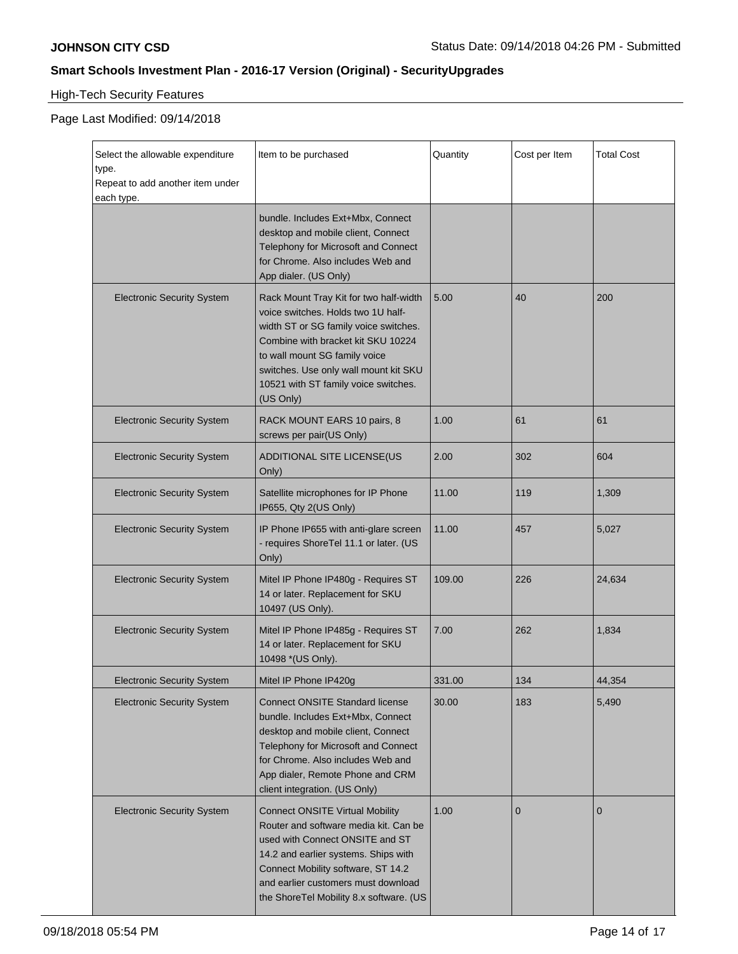# High-Tech Security Features

| Select the allowable expenditure<br>type.<br>Repeat to add another item under<br>each type. | Item to be purchased                                                                                                                                                                                                                                                                       | Quantity | Cost per Item | <b>Total Cost</b> |
|---------------------------------------------------------------------------------------------|--------------------------------------------------------------------------------------------------------------------------------------------------------------------------------------------------------------------------------------------------------------------------------------------|----------|---------------|-------------------|
|                                                                                             | bundle. Includes Ext+Mbx, Connect<br>desktop and mobile client, Connect<br>Telephony for Microsoft and Connect<br>for Chrome. Also includes Web and<br>App dialer. (US Only)                                                                                                               |          |               |                   |
| <b>Electronic Security System</b>                                                           | Rack Mount Tray Kit for two half-width<br>voice switches. Holds two 1U half-<br>width ST or SG family voice switches.<br>Combine with bracket kit SKU 10224<br>to wall mount SG family voice<br>switches. Use only wall mount kit SKU<br>10521 with ST family voice switches.<br>(US Only) | 5.00     | 40            | 200               |
| <b>Electronic Security System</b>                                                           | RACK MOUNT EARS 10 pairs, 8<br>screws per pair(US Only)                                                                                                                                                                                                                                    | 1.00     | 61            | 61                |
| <b>Electronic Security System</b>                                                           | ADDITIONAL SITE LICENSE(US<br>Only)                                                                                                                                                                                                                                                        | 2.00     | 302           | 604               |
| <b>Electronic Security System</b>                                                           | Satellite microphones for IP Phone<br>IP655, Qty 2(US Only)                                                                                                                                                                                                                                | 11.00    | 119           | 1,309             |
| <b>Electronic Security System</b>                                                           | IP Phone IP655 with anti-glare screen<br>- requires ShoreTel 11.1 or later. (US<br>Only)                                                                                                                                                                                                   | 11.00    | 457           | 5,027             |
| <b>Electronic Security System</b>                                                           | Mitel IP Phone IP480g - Requires ST<br>14 or later. Replacement for SKU<br>10497 (US Only).                                                                                                                                                                                                | 109.00   | 226           | 24,634            |
| <b>Electronic Security System</b>                                                           | Mitel IP Phone IP485g - Requires ST<br>14 or later. Replacement for SKU<br>10498 *(US Only).                                                                                                                                                                                               | 7.00     | 262           | 1,834             |
| <b>Electronic Security System</b>                                                           | Mitel IP Phone IP420g                                                                                                                                                                                                                                                                      | 331.00   | 134           | 44,354            |
| <b>Electronic Security System</b>                                                           | <b>Connect ONSITE Standard license</b><br>bundle. Includes Ext+Mbx, Connect<br>desktop and mobile client, Connect<br>Telephony for Microsoft and Connect<br>for Chrome. Also includes Web and<br>App dialer, Remote Phone and CRM<br>client integration. (US Only)                         | 30.00    | 183           | 5,490             |
| <b>Electronic Security System</b>                                                           | <b>Connect ONSITE Virtual Mobility</b><br>Router and software media kit. Can be<br>used with Connect ONSITE and ST<br>14.2 and earlier systems. Ships with<br>Connect Mobility software, ST 14.2<br>and earlier customers must download<br>the ShoreTel Mobility 8.x software. (US         | 1.00     | $\mathbf{0}$  | $\mathbf{0}$      |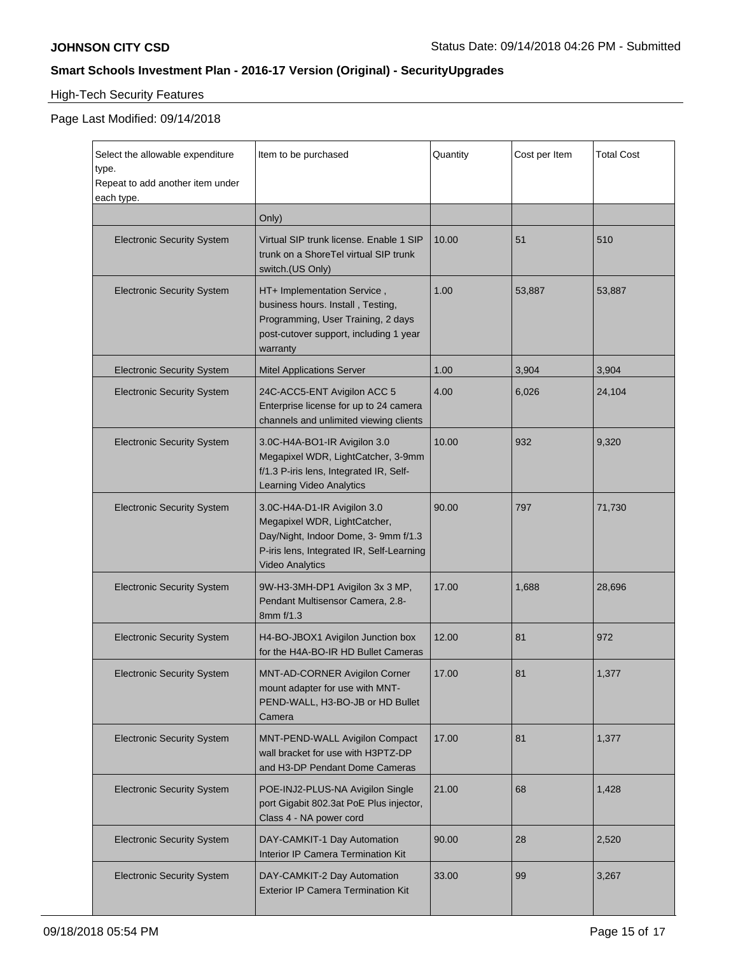# High-Tech Security Features

| Select the allowable expenditure<br>type.<br>Repeat to add another item under<br>each type. | Item to be purchased                                                                                                                                                       | Quantity | Cost per Item | <b>Total Cost</b> |
|---------------------------------------------------------------------------------------------|----------------------------------------------------------------------------------------------------------------------------------------------------------------------------|----------|---------------|-------------------|
|                                                                                             | Only)                                                                                                                                                                      |          |               |                   |
| <b>Electronic Security System</b>                                                           | Virtual SIP trunk license. Enable 1 SIP<br>trunk on a ShoreTel virtual SIP trunk<br>switch.(US Only)                                                                       | 10.00    | 51            | 510               |
| <b>Electronic Security System</b>                                                           | HT+ Implementation Service,<br>business hours. Install, Testing,<br>Programming, User Training, 2 days<br>post-cutover support, including 1 year<br>warranty               | 1.00     | 53,887        | 53,887            |
| <b>Electronic Security System</b>                                                           | <b>Mitel Applications Server</b>                                                                                                                                           | 1.00     | 3,904         | 3,904             |
| <b>Electronic Security System</b>                                                           | 24C-ACC5-ENT Avigilon ACC 5<br>Enterprise license for up to 24 camera<br>channels and unlimited viewing clients                                                            | 4.00     | 6,026         | 24,104            |
| <b>Electronic Security System</b>                                                           | 3.0C-H4A-BO1-IR Avigilon 3.0<br>Megapixel WDR, LightCatcher, 3-9mm<br>f/1.3 P-iris lens, Integrated IR, Self-<br>Learning Video Analytics                                  | 10.00    | 932           | 9,320             |
| <b>Electronic Security System</b>                                                           | 3.0C-H4A-D1-IR Avigilon 3.0<br>Megapixel WDR, LightCatcher,<br>Day/Night, Indoor Dome, 3- 9mm f/1.3<br>P-iris lens, Integrated IR, Self-Learning<br><b>Video Analytics</b> | 90.00    | 797           | 71,730            |
| <b>Electronic Security System</b>                                                           | 9W-H3-3MH-DP1 Avigilon 3x 3 MP,<br>Pendant Multisensor Camera, 2.8-<br>8mm f/1.3                                                                                           | 17.00    | 1,688         | 28,696            |
| <b>Electronic Security System</b>                                                           | H4-BO-JBOX1 Avigilon Junction box<br>for the H4A-BO-IR HD Bullet Cameras                                                                                                   | 12.00    | 81            | 972               |
| <b>Electronic Security System</b>                                                           | <b>MNT-AD-CORNER Avigilon Corner</b><br>mount adapter for use with MNT-<br>PEND-WALL, H3-BO-JB or HD Bullet<br>Camera                                                      | 17.00    | 81            | 1,377             |
| <b>Electronic Security System</b>                                                           | MNT-PEND-WALL Avigilon Compact<br>wall bracket for use with H3PTZ-DP<br>and H3-DP Pendant Dome Cameras                                                                     | 17.00    | 81            | 1,377             |
| <b>Electronic Security System</b>                                                           | POE-INJ2-PLUS-NA Avigilon Single<br>port Gigabit 802.3at PoE Plus injector,<br>Class 4 - NA power cord                                                                     | 21.00    | 68            | 1,428             |
| <b>Electronic Security System</b>                                                           | DAY-CAMKIT-1 Day Automation<br>Interior IP Camera Termination Kit                                                                                                          | 90.00    | 28            | 2,520             |
| <b>Electronic Security System</b>                                                           | DAY-CAMKIT-2 Day Automation<br><b>Exterior IP Camera Termination Kit</b>                                                                                                   | 33.00    | 99            | 3,267             |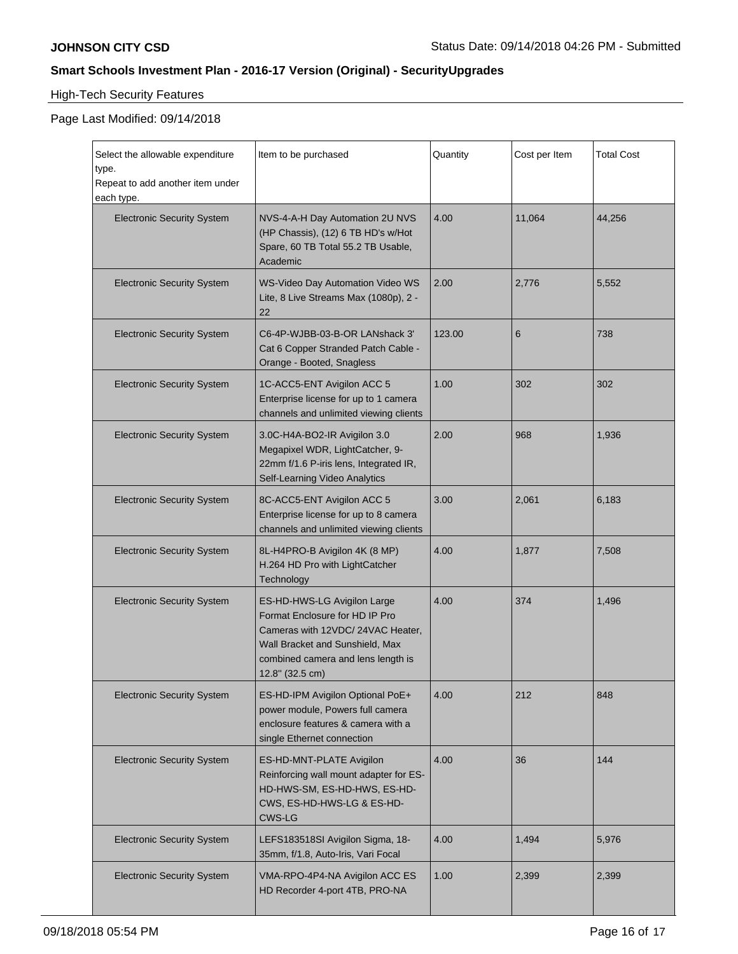# High-Tech Security Features

| Select the allowable expenditure<br>type.<br>Repeat to add another item under<br>each type. | Item to be purchased                                                                                                                                                                          | Quantity | Cost per Item | <b>Total Cost</b> |
|---------------------------------------------------------------------------------------------|-----------------------------------------------------------------------------------------------------------------------------------------------------------------------------------------------|----------|---------------|-------------------|
| <b>Electronic Security System</b>                                                           | NVS-4-A-H Day Automation 2U NVS<br>(HP Chassis), (12) 6 TB HD's w/Hot<br>Spare, 60 TB Total 55.2 TB Usable,<br>Academic                                                                       | 4.00     | 11,064        | 44,256            |
| <b>Electronic Security System</b>                                                           | <b>WS-Video Day Automation Video WS</b><br>Lite, 8 Live Streams Max (1080p), 2 -<br>22                                                                                                        | 2.00     | 2,776         | 5,552             |
| <b>Electronic Security System</b>                                                           | C6-4P-WJBB-03-B-OR LANshack 3'<br>Cat 6 Copper Stranded Patch Cable -<br>Orange - Booted, Snagless                                                                                            | 123.00   | 6             | 738               |
| <b>Electronic Security System</b>                                                           | 1C-ACC5-ENT Avigilon ACC 5<br>Enterprise license for up to 1 camera<br>channels and unlimited viewing clients                                                                                 | 1.00     | 302           | 302               |
| <b>Electronic Security System</b>                                                           | 3.0C-H4A-BO2-IR Avigilon 3.0<br>Megapixel WDR, LightCatcher, 9-<br>22mm f/1.6 P-iris lens, Integrated IR,<br>Self-Learning Video Analytics                                                    | 2.00     | 968           | 1,936             |
| <b>Electronic Security System</b>                                                           | 8C-ACC5-ENT Avigilon ACC 5<br>Enterprise license for up to 8 camera<br>channels and unlimited viewing clients                                                                                 | 3.00     | 2,061         | 6,183             |
| <b>Electronic Security System</b>                                                           | 8L-H4PRO-B Avigilon 4K (8 MP)<br>H.264 HD Pro with LightCatcher<br>Technology                                                                                                                 | 4.00     | 1,877         | 7,508             |
| <b>Electronic Security System</b>                                                           | ES-HD-HWS-LG Avigilon Large<br>Format Enclosure for HD IP Pro<br>Cameras with 12VDC/24VAC Heater,<br>Wall Bracket and Sunshield, Max<br>combined camera and lens length is<br>12.8" (32.5 cm) | 4.00     | 374           | 1,496             |
| <b>Electronic Security System</b>                                                           | ES-HD-IPM Avigilon Optional PoE+<br>power module, Powers full camera<br>enclosure features & camera with a<br>single Ethernet connection                                                      | 4.00     | 212           | 848               |
| <b>Electronic Security System</b>                                                           | ES-HD-MNT-PLATE Avigilon<br>Reinforcing wall mount adapter for ES-<br>HD-HWS-SM, ES-HD-HWS, ES-HD-<br>CWS, ES-HD-HWS-LG & ES-HD-<br>CWS-LG                                                    | 4.00     | 36            | 144               |
| <b>Electronic Security System</b>                                                           | LEFS183518SI Avigilon Sigma, 18-<br>35mm, f/1.8, Auto-Iris, Vari Focal                                                                                                                        | 4.00     | 1,494         | 5,976             |
| <b>Electronic Security System</b>                                                           | VMA-RPO-4P4-NA Avigilon ACC ES<br>HD Recorder 4-port 4TB, PRO-NA                                                                                                                              | 1.00     | 2,399         | 2,399             |